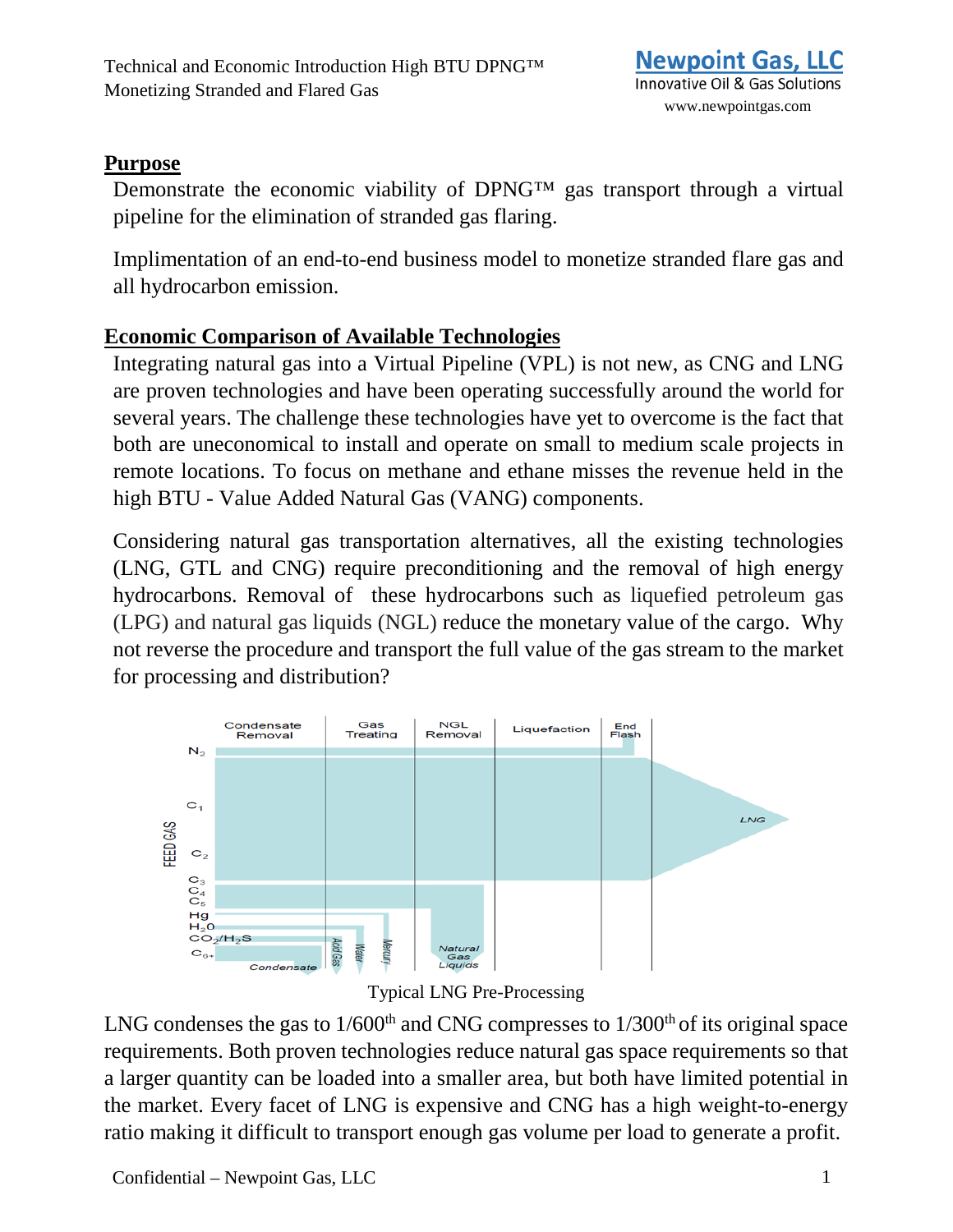## **Purpose**

Demonstrate the economic viability of DPNG™ gas transport through a virtual pipeline for the elimination of stranded gas flaring.

Implimentation of an end-to-end business model to monetize stranded flare gas and all hydrocarbon emission.

# **Economic Comparison of Available Technologies**

Integrating natural gas into a Virtual Pipeline (VPL) is not new, as CNG and LNG are proven technologies and have been operating successfully around the world for several years. The challenge these technologies have yet to overcome is the fact that both are uneconomical to install and operate on small to medium scale projects in remote locations. To focus on methane and ethane misses the revenue held in the high BTU - Value Added Natural Gas (VANG) components.

Considering natural gas transportation alternatives, all the existing technologies (LNG, GTL and CNG) require preconditioning and the removal of high energy hydrocarbons. Removal of these hydrocarbons such as liquefied petroleum gas (LPG) and natural gas liquids (NGL) reduce the monetary value of the cargo. Why not reverse the procedure and transport the full value of the gas stream to the market for processing and distribution?



Typical LNG Pre-Processing

LNG condenses the gas to  $1/600<sup>th</sup>$  and CNG compresses to  $1/300<sup>th</sup>$  of its original space requirements. Both proven technologies reduce natural gas space requirements so that a larger quantity can be loaded into a smaller area, but both have limited potential in the market. Every facet of LNG is expensive and CNG has a high weight-to-energy ratio making it difficult to transport enough gas volume per load to generate a profit.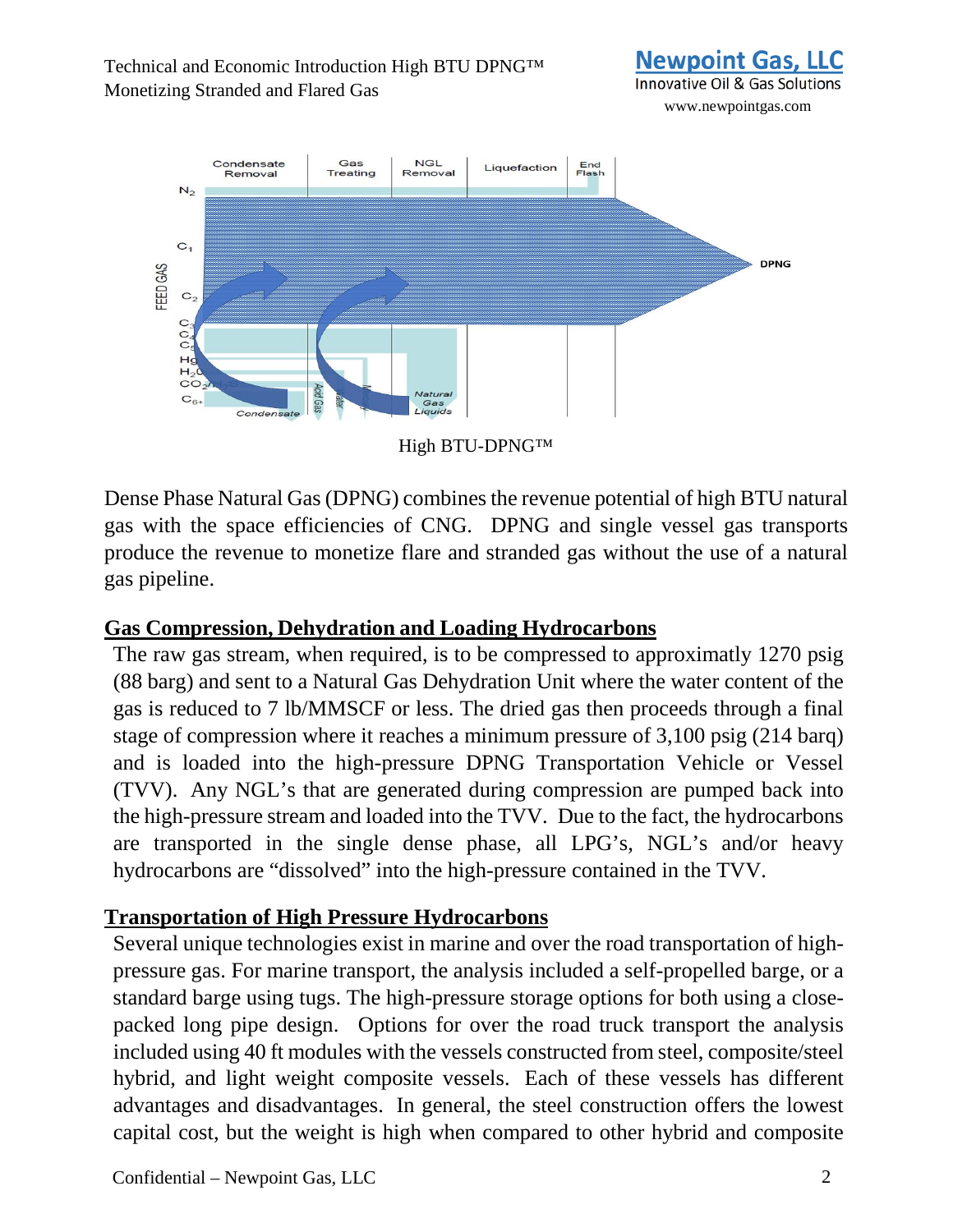#### Technical and Economic Introduction High BTU DPNG™ Monetizing Stranded and Flared Gas



www.newpointgas.com



High BTU-DPNG™

Dense Phase Natural Gas (DPNG) combines the revenue potential of high BTU natural gas with the space efficiencies of CNG. DPNG and single vessel gas transports produce the revenue to monetize flare and stranded gas without the use of a natural gas pipeline.

### **Gas Compression, Dehydration and Loading Hydrocarbons**

The raw gas stream, when required, is to be compressed to approximatly 1270 psig (88 barg) and sent to a Natural Gas Dehydration Unit where the water content of the gas is reduced to 7 lb/MMSCF or less. The dried gas then proceeds through a final stage of compression where it reaches a minimum pressure of 3,100 psig (214 barq) and is loaded into the high-pressure DPNG Transportation Vehicle or Vessel (TVV). Any NGL's that are generated during compression are pumped back into the high-pressure stream and loaded into the TVV. Due to the fact, the hydrocarbons are transported in the single dense phase, all LPG's, NGL's and/or heavy hydrocarbons are "dissolved" into the high-pressure contained in the TVV.

### **Transportation of High Pressure Hydrocarbons**

Several unique technologies exist in marine and over the road transportation of highpressure gas. For marine transport, the analysis included a self-propelled barge, or a standard barge using tugs. The high-pressure storage options for both using a closepacked long pipe design. Options for over the road truck transport the analysis included using 40 ft modules with the vessels constructed from steel, composite/steel hybrid, and light weight composite vessels. Each of these vessels has different advantages and disadvantages. In general, the steel construction offers the lowest capital cost, but the weight is high when compared to other hybrid and composite